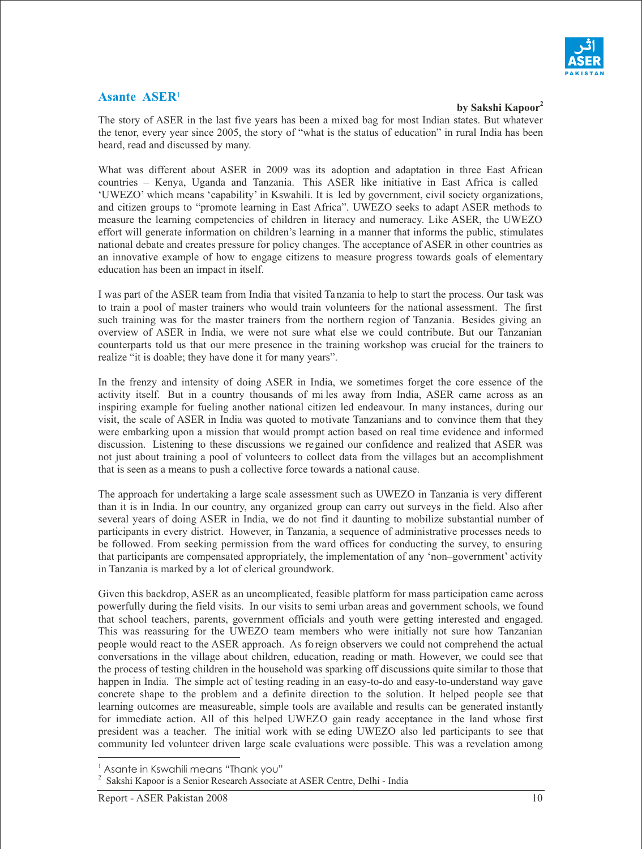

## **Asante ASER**<sup>1</sup>

**by Sakshi Kapoor<sup>2</sup>** 

The story of ASER in the last five years has been a mixed bag for most Indian states. But whatever the tenor, every year since 2005, the story of "what is the status of education" in rural India has been heard, read and discussed by many.

What was different about ASER in 2009 was its adoption and adaptation in three East African countries – Kenya, Uganda and Tanzania. This ASER like initiative in East Africa is called 'UWEZO' which means 'capability' in Kswahili. It is led by government, civil society organizations, and citizen groups to "promote learning in East Africa". UWEZO seeks to adapt ASER methods to measure the learning competencies of children in literacy and numeracy. Like ASER, the UWEZO effort will generate information on children's learning in a manner that informs the public, stimulates national debate and creates pressure for policy changes. The acceptance of ASER in other countries as an innovative example of how to engage citizens to measure progress towards goals of elementary education has been an impact in itself.

I was part of the ASER team from India that visited Ta nzania to help to start the process. Our task was to train a pool of master trainers who would train volunteers for the national assessment. The first such training was for the master trainers from the northern region of Tanzania. Besides giving an overview of ASER in India, we were not sure what else we could contribute. But our Tanzanian counterparts told us that our mere presence in the training workshop was crucial for the trainers to realize "it is doable; they have done it for many years".

In the frenzy and intensity of doing ASER in India, we sometimes forget the core essence of the activity itself. But in a country thousands of mi les away from India, ASER came across as an inspiring example for fueling another national citizen led endeavour. In many instances, during our visit, the scale of ASER in India was quoted to motivate Tanzanians and to convince them that they were embarking upon a mission that would prompt action based on real time evidence and informed discussion. Listening to these discussions we regained our confidence and realized that ASER was not just about training a pool of volunteers to collect data from the villages but an accomplishment that is seen as a means to push a collective force towards a national cause.

The approach for undertaking a large scale assessment such as UWEZO in Tanzania is very different than it is in India. In our country, any organized group can carry out surveys in the field. Also after several years of doing ASER in India, we do not find it daunting to mobilize substantial number of participants in every district. However, in Tanzania, a sequence of administrative processes needs to be followed. From seeking permission from the ward offices for conducting the survey, to ensuring that participants are compensated appropriately, the implementation of any 'non–government' activity in Tanzania is marked by a lot of clerical groundwork.

Given this backdrop, ASER as an uncomplicated, feasible platform for mass participation came across powerfully during the field visits. In our visits to semi urban areas and government schools, we found that school teachers, parents, government officials and youth were getting interested and engaged. This was reassuring for the UWEZO team members who were initially not sure how Tanzanian people would react to the ASER approach. As fo reign observers we could not comprehend the actual conversations in the village about children, education, reading or math. However, we could see that the process of testing children in the household was sparking off discussions quite similar to those that happen in India. The simple act of testing reading in an easy-to-do and easy-to-understand way gave concrete shape to the problem and a definite direction to the solution. It helped people see that learning outcomes are measureable, simple tools are available and results can be generated instantly for immediate action. All of this helped UWEZO gain ready acceptance in the land whose first president was a teacher. The initial work with se eding UWEZO also led participants to see that community led volunteer driven large scale evaluations were possible. This was a revelation among

 $\overline{a}$ 

 $^1$  Asante in Kswahili means "Thank you"

<sup>&</sup>lt;sup>2</sup> Sakshi Kapoor is a Senior Research Associate at ASER Centre, Delhi - India